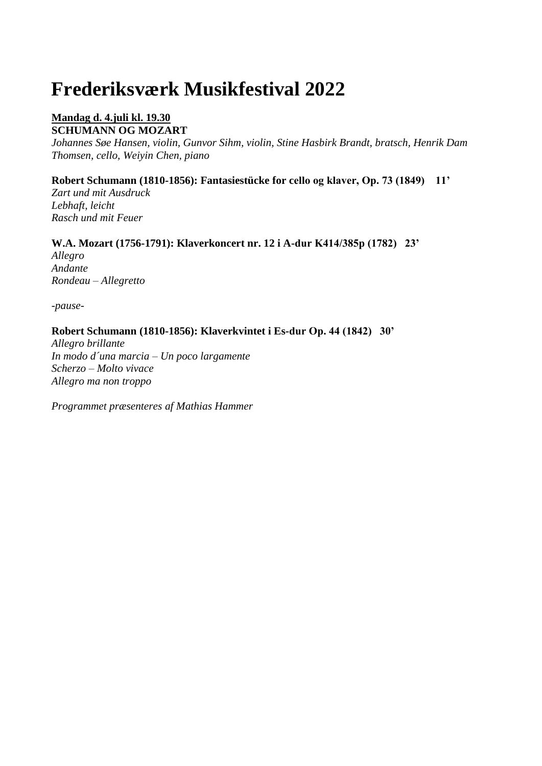# **Frederiksværk Musikfestival 2022**

## **Mandag d. 4.juli kl. 19.30 SCHUMANN OG MOZART**

*Johannes Søe Hansen, violin, Gunvor Sihm, violin, Stine Hasbirk Brandt, bratsch, Henrik Dam Thomsen, cello, Weiyin Chen, piano*

## **Robert Schumann (1810-1856): Fantasiestücke for cello og klaver, Op. 73 (1849) 11'**

*Zart und mit Ausdruck Lebhaft, leicht Rasch und mit Feuer*

## **W.A. Mozart (1756-1791): Klaverkoncert nr. 12 i A-dur K414/385p (1782) 23'**

*Allegro Andante Rondeau – Allegretto*

*-pause-*

#### **Robert Schumann (1810-1856): Klaverkvintet i Es-dur Op. 44 (1842) 30'**

*Allegro brillante In modo d´una marcia – Un poco largamente Scherzo – Molto vivace Allegro ma non troppo*

*Programmet præsenteres af Mathias Hammer*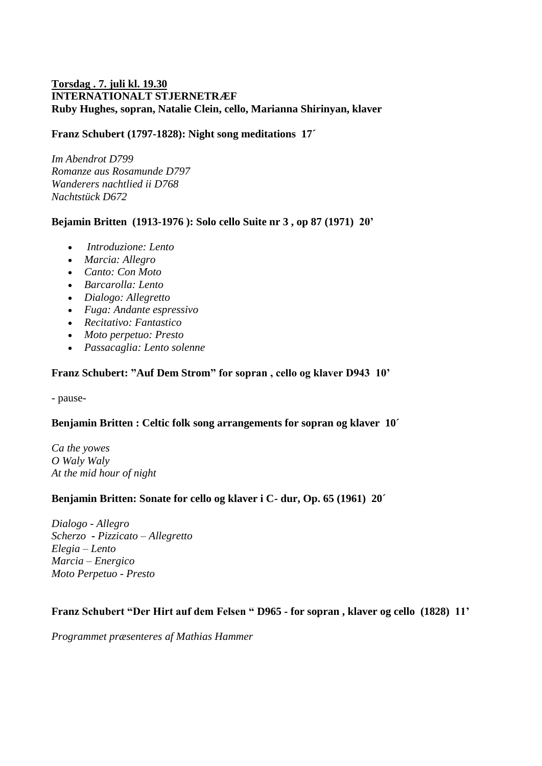## **Torsdag . 7. juli kl. 19.30 INTERNATIONALT STJERNETRÆF Ruby Hughes, sopran, Natalie Clein, cello, Marianna Shirinyan, klaver**

#### **Franz Schubert (1797-1828): Night song meditations 17´**

*Im Abendrot D799 Romanze aus Rosamunde D797 Wanderers nachtlied ii D768 Nachtstück D672*

#### **Bejamin Britten (1913-1976 ): Solo cello Suite nr 3 , op 87 (1971) 20'**

- *Introduzione: Lento*
- *Marcia: Allegro*
- *Canto: Con Moto*
- *Barcarolla: Lento*
- *Dialogo: Allegretto*
- *Fuga: Andante espressivo*
- *Recitativo: Fantastico*
- *Moto perpetuo: Presto*
- *Passacaglia: Lento solenne*

#### **Franz Schubert: "Auf Dem Strom" for sopran , cello og klaver D943 10'**

- pause-

#### **Benjamin Britten : Celtic folk song arrangements for sopran og klaver 10´**

*Ca the yowes O Waly Waly At the mid hour of night*

#### **Benjamin Britten: Sonate for cello og klaver i C- dur, Op. 65 (1961) 20´**

*Dialogo - Allegro Scherzo* **-** *Pizzicato – Allegretto Elegia – Lento Marcia – Energico Moto Perpetuo - Presto*

## **Franz Schubert "Der Hirt auf dem Felsen " D965 - for sopran , klaver og cello (1828) 11'**

*Programmet præsenteres af Mathias Hammer*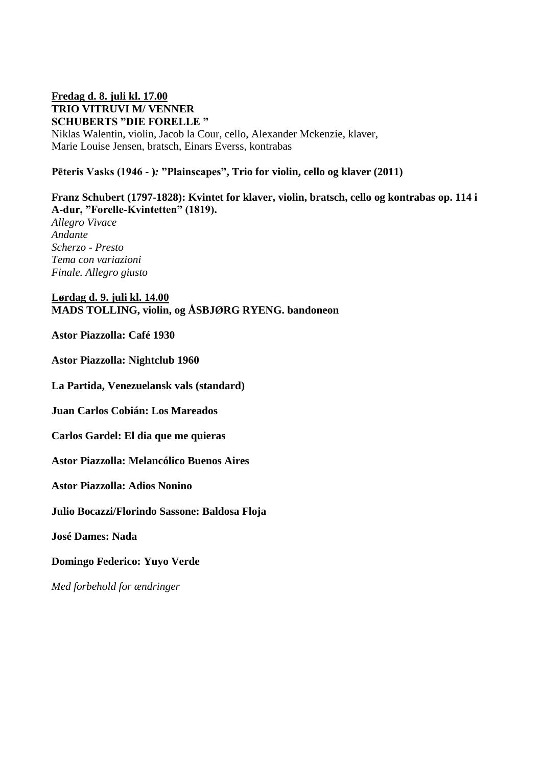#### **Fredag d. 8. juli kl. 17.00 TRIO VITRUVI M/ VENNER SCHUBERTS "DIE FORELLE "**

Niklas Walentin, violin, Jacob la Cour, cello, Alexander Mckenzie, klaver, Marie Louise Jensen, bratsch, Einars Everss, kontrabas

## **Pēteris Vasks (1946 - )***:* **"Plainscapes", Trio for violin, cello og klaver (2011)**

## **Franz Schubert (1797-1828): Kvintet for klaver, violin, bratsch, cello og kontrabas op. 114 i A-dur, "Forelle-Kvintetten" (1819).**

*Allegro Vivace Andante Scherzo - Presto Tema con variazioni Finale. Allegro giusto*

#### **Lørdag d. 9. juli kl. 14.00 MADS TOLLING, violin, og ÅSBJØRG RYENG. bandoneon**

#### **Astor Piazzolla: Café 1930**

**Astor Piazzolla: Nightclub 1960**

**La Partida, Venezuelansk vals (standard)**

**Juan Carlos Cobián: Los Mareados**

**Carlos Gardel: El dia que me quieras**

**Astor Piazzolla: Melancólico Buenos Aires**

**Astor Piazzolla: Adios Nonino**

**Julio Bocazzi/Florindo Sassone: Baldosa Floja**

**José Dames: Nada**

**Domingo Federico: Yuyo Verde**

*Med forbehold for ændringer*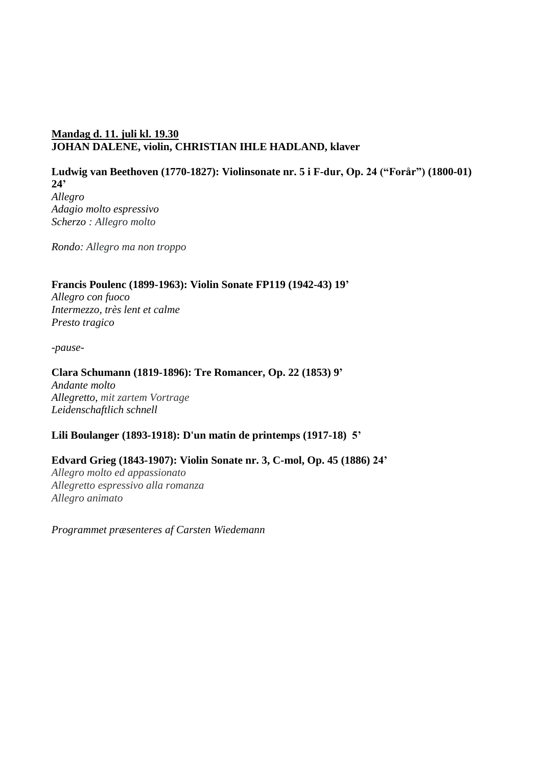## **Mandag d. 11. juli kl. 19.30 JOHAN DALENE, violin, CHRISTIAN IHLE HADLAND, klaver**

## **Ludwig van Beethoven (1770-1827): Violinsonate nr. 5 i F-dur, Op. 24 ("Forår") (1800-01) 24'**

*Allegro Adagio molto espressivo Scherzo : Allegro molto*

*Rondo: Allegro ma non troppo*

#### **Francis Poulenc (1899-1963): Violin Sonate FP119 (1942-43) 19'**

*Allegro con fuoco Intermezzo, très lent et calme Presto tragico*

*-pause-*

#### **Clara Schumann (1819-1896): Tre Romancer, Op. 22 (1853) 9'**

*Andante molto Allegretto, mit zartem Vortrage Leidenschaftlich schnell* 

## **Lili Boulanger (1893-1918): D'un matin de printemps (1917-18) 5'**

## **Edvard Grieg (1843-1907): Violin Sonate nr. 3, C-mol, Op. 45 (1886) 24'**

*Allegro molto ed appassionato Allegretto espressivo alla romanza Allegro animato*

*Programmet præsenteres af Carsten Wiedemann*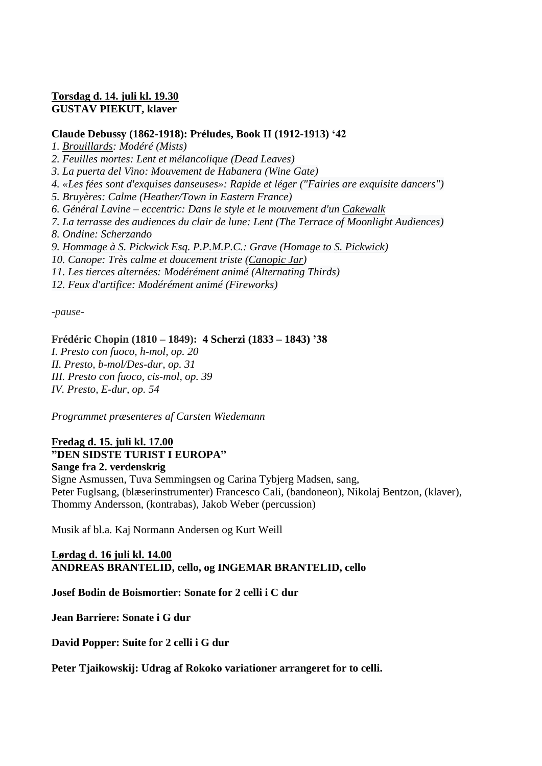## **Torsdag d. 14. juli kl. 19.30 GUSTAV PIEKUT, klaver**

#### **Claude Debussy (1862-1918): Préludes, Book II (1912-1913) '42**

*1. [Brouillards:](https://en.wikipedia.org/wiki/Brouillards) Modéré (Mists)*

*2. Feuilles mortes: Lent et mélancolique (Dead Leaves)*

*3. La puerta del Vino: Mouvement de Habanera (Wine Gate)*

*4. «Les fées sont d'exquises danseuses»: Rapide et léger ("Fairies are exquisite dancers")*

*5. Bruyères: Calme (Heather/Town in Eastern France)*

*6. Général Lavine – eccentric: Dans le style et le mouvement d'un [Cakewalk](https://en.wikipedia.org/wiki/Cakewalk)*

*7. La terrasse des audiences du clair de lune: Lent (The Terrace of Moonlight Audiences)*

*8. Ondine: Scherzando*

*9. [Hommage à S. Pickwick Esq. P.P.M.P.C.:](https://en.wikipedia.org/wiki/Hommage_%C3%A0_S._Pickwick_Esq._P.P.M.P.C.) Grave (Homage to [S. Pickwick\)](https://en.wikipedia.org/wiki/The_Pickwick_Papers)*

*10. Canope: Très calme et doucement triste [\(Canopic Jar\)](https://en.wikipedia.org/wiki/Canopic_jar)*

*11. Les tierces alternées: Modérément animé (Alternating Thirds)*

*12. Feux d'artifice: Modérément animé (Fireworks)*

*-pause-*

#### **Frédéric Chopin (1810 – 1849): 4 Scherzi (1833 – 1843) '38**

*I. Presto con fuoco, h-mol, op. 20 II. Presto, b-mol/Des-dur, op. 31 III. Presto con fuoco, cis-mol, op. 39 IV. Presto, E-dur, op. 54*

*Programmet præsenteres af Carsten Wiedemann*

## **Fredag d. 15. juli kl. 17.00**

## **"DEN SIDSTE TURIST I EUROPA"**

**Sange fra 2. verdenskrig**

Signe Asmussen, Tuva Semmingsen og Carina Tybjerg Madsen, sang, Peter Fuglsang, (blæserinstrumenter) Francesco Cali, (bandoneon), Nikolaj Bentzon, (klaver), Thommy Andersson, (kontrabas), Jakob Weber (percussion)

Musik af bl.a. Kaj Normann Andersen og Kurt Weill

#### **Lørdag d. 16 juli kl. 14.00 ANDREAS BRANTELID, cello, og INGEMAR BRANTELID, cello**

**Josef Bodin de Boismortier: Sonate for 2 celli i C dur** 

**Jean Barriere: Sonate i G dur** 

**David Popper: Suite for 2 celli i G dur** 

**Peter Tjaikowskij: Udrag af Rokoko variationer arrangeret for to celli.**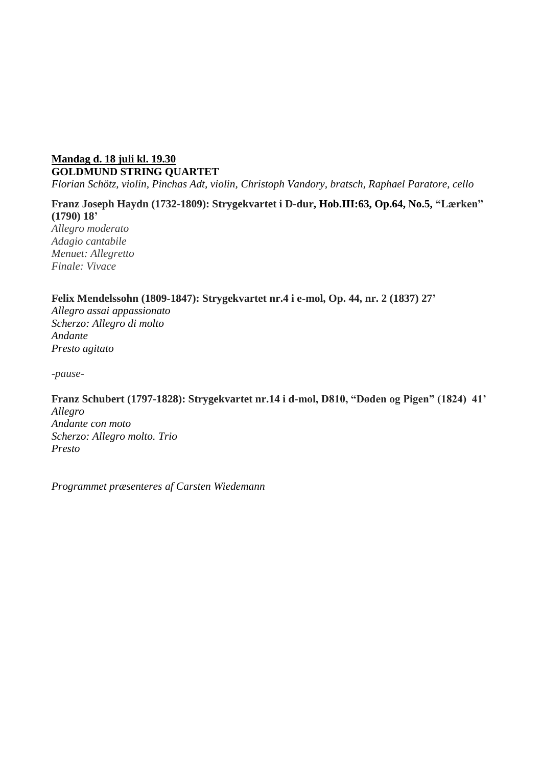## **Mandag d. 18 juli kl. 19.30 GOLDMUND STRING QUARTET**

*Florian Schötz, violin, Pinchas Adt, violin, Christoph Vandory, bratsch, Raphael Paratore, cello*

## **Franz Joseph Haydn (1732-1809): Strygekvartet i D-dur, Hob.III:63, Op.64, No.5, "Lærken" (1790) 18'**

*Allegro moderato Adagio cantabile Menuet: Allegretto Finale: Vivace*

#### **Felix Mendelssohn (1809-1847): Strygekvartet nr.4 i e-mol, Op. 44, nr. 2 (1837) 27'**

*Allegro assai appassionato Scherzo: Allegro di molto Andante Presto agitato*

*-pause-*

## **Franz Schubert (1797-1828): Strygekvartet nr.14 i d-mol, D810, "Døden og Pigen" (1824) 41'**

*Allegro Andante con moto Scherzo: Allegro molto. Trio Presto*

*Programmet præsenteres af Carsten Wiedemann*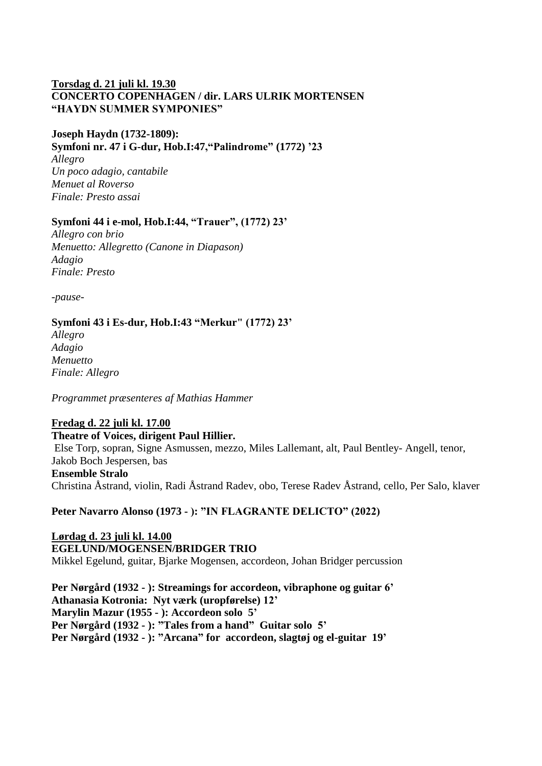#### **Torsdag d. 21 juli kl. 19.30 CONCERTO COPENHAGEN / dir. LARS ULRIK MORTENSEN "HAYDN SUMMER SYMPONIES"**

#### **Joseph Haydn (1732-1809):**

**Symfoni nr. 47 i G-dur, Hob.I:47,"Palindrome" (1772) '23**

*Allegro Un poco adagio, cantabile Menuet al Roverso Finale: Presto assai*

#### **Symfoni 44 i e-mol, Hob.I:44, "Trauer", (1772) 23'**

*Allegro con brio Menuetto: Allegretto (Canone in Diapason) Adagio Finale: Presto*

*-pause-*

## **Symfoni 43 i Es-dur, Hob.I:43 "Merkur" (1772) 23'**

*Allegro Adagio Menuetto Finale: Allegro*

*Programmet præsenteres af Mathias Hammer*

## **Fredag d. 22 juli kl. 17.00**

# **Theatre of Voices, dirigent Paul Hillier.**

Else Torp, sopran, Signe Asmussen, mezzo, Miles Lallemant, alt, Paul Bentley- Angell, tenor, Jakob Boch Jespersen, bas **Ensemble Stralo** Christina Åstrand, violin, Radi Åstrand Radev, obo, Terese Radev Åstrand, cello, Per Salo, klaver

**Peter Navarro Alonso (1973 - ): "IN FLAGRANTE DELICTO" (2022)**

## **Lørdag d. 23 juli kl. 14.00 EGELUND/MOGENSEN/BRIDGER TRIO** Mikkel Egelund, guitar, Bjarke Mogensen, accordeon, Johan Bridger percussion

**Per Nørgård (1932 - ): Streamings for accordeon, vibraphone og guitar 6' Athanasia Kotronia: Nyt værk (uropførelse) 12' Marylin Mazur (1955 - ): Accordeon solo 5' Per Nørgård (1932 - ): "Tales from a hand" Guitar solo 5' Per Nørgård (1932 - ): "Arcana" for accordeon, slagtøj og el-guitar 19'**